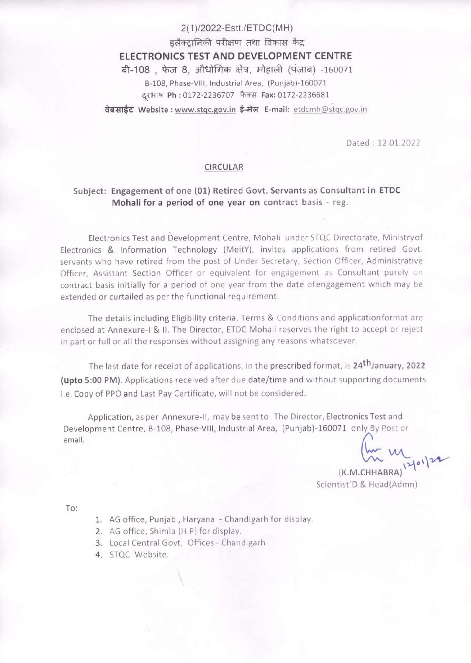# 2(1)/2022-Estt./ETDC(MH) डलैक्टानिकी परीक्षण तथा विकास केंद्र ELECTRONICS TEST AND DEVELOPMENT CENTRE बी-108, फेज 8, औधोगिक क्षेत्र, मोहाली (पंजाब) -160071 B-108, Phase-Vill, Industrial Area, (Punjab)-160071 दरभाष Ph: 0172-2236707 फैक्स Fax: 0172-2236681

वेबसाईट Website : www.stgc.gov.in ई-मेल E-mail: etdcmh@stgc.gov.in

Dated : 12.01.2022

## CIRCULAR

## Subject: Engagement of one (01) Retired Govt. Servants as Consultant in ETDC Mohali for a period of one year on contract basis - reg.

Electronics Test and Development Centre, Mohali under STQC Directorate, Ministryof Electronics & Information Technology (MeitY), invites applications from retired Govt. servants who have retired from the post of Under Secretary, Section Officer, Administrative Officer, Assistant Section Officer or equivalent for engagement as Consultant purely on contract basis initially for <sup>a</sup> period of one year from the date ofengagement which may be extended or curtailed as per the functional requirement.

The details including Eligibility criteria, Terms & Conditions and applicationformat are enclosed at Annexure-l & Il. The Director, ETDC Mohali reserves the right to accept or reject in part or full or all the responses without assigning any reasons whatsoever.

The last date for receipt of applications, in the prescribed format, is 24<sup>th</sup>January, 2022 (upto 5:00 PM). Applications received after due date/time and without supporting documents i.e. Copy of PPO and Last Pay Certificate, will not be considered.

Application, as per Annexure-ll, may besentto The Director, Electronics Test and Development Centre, B-108, Phase-VIll, Industrial Area, (Punjab)-160071 only By Post or  $\overline{\mathbf{R}}$  and  $\overline{\mathbf{R}}$  and  $\overline{\mathbf{R}}$  are  $\overline{\mathbf{R}}$  and  $\overline{\mathbf{R}}$  are  $\overline{\mathbf{R}}$  and  $\overline{\mathbf{R}}$  are  $\overline{\mathbf{R}}$  and  $\overline{\mathbf{R}}$  are  $\overline{\mathbf{R}}$  and  $\overline{\mathbf{R}}$  are  $\overline{\mathbf{R}}$  and  $\overline{\mathbf{R}}$  are  $\overline{\mathbf{R}}$  a

 $\lim_{(K.M.CHHABRA)} |y|^{24}$ 

Scientist D & Head(Admn)

To:

- 1. AG office, Punjab, Haryana Chandigarh for display.
- 2. AG office, Shimla (H.P) for display.
- 3. Local Central Govt. Offices Chandigarh
- 4. STQC Website.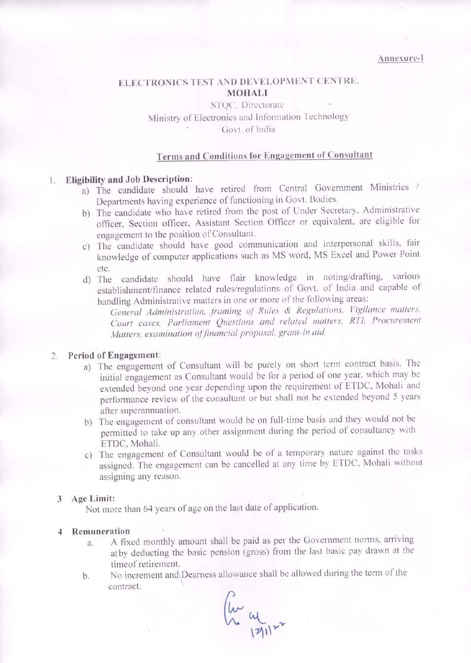## ELECTRONICS TEST AND DEVELOPMENT CENTRE, MOHALI

## STOC. Directorate Ministry of Electronics and Information Technology Govt. of India

## Terms and Conditions for Engagement of Consultant

## |. Eligibility and Job Description:

- a) The candidate should have retired from Central Government Ministries / Departments having experience of functioning in Govt. Bodies.
- b) The candidate who have retired from the post of Under Secretary, Administrative officer, Section officer, Assistant Section Officer or equivalent, are eligible for engagement to the position of Consultant.
- $\circ)$ The candidate should have good communication and interpersonal skills, fair knowledge of computer applications such as MS word, MS Excel and Power Point etc.
- d) The candidate should have flair knowledge in noting/drafting, various establishment/finance related rules/regulations of Govt. of India and capable of handling Administrative matters in one or more of the following areas:

General Administration, framing of Rules & Regulations, Vigilance matters, Court cases, Parliament Questions and related matters, RTI, Procurement Matters, examination offinancial proposal, grant-in aid.

### 2. Period of Engagement:

- a) The engagement of Consultant will be purely on short term contract basis. The initial engagement as Consultant would be for <sup>a</sup> period of one year, which may be extended beyond one year depending upon the requirement of ETDC, Mohali and performance review of the consultant or but shall not be extended beyond <sup>5</sup> years after superannuation.
- b) The engagement of consultant would be on full-time basis and they would not be permitted to take up any other assignment during the period of consultancy with ETDC, Mohali.
- c) The engagement of Consultant would be of <sup>a</sup> temporary nature against the tasks assigned. The engagement can be cancelled at any time by ETDC, Mohali without assigning any reason.

## 3 Age Limit:

Not more than 64 years of age on the last date of application.

#### 4 Remuneration

- a. A fixed monthly amount shall be paid as per the Government norms, arriving atby deducting the basic pension (gross) from the last basic pay drawn at the timeof retirement.
- No increment and Dearness allowance shall be allowed during the term of the  $b.$ contract.

 $\mu$  al  $\mu$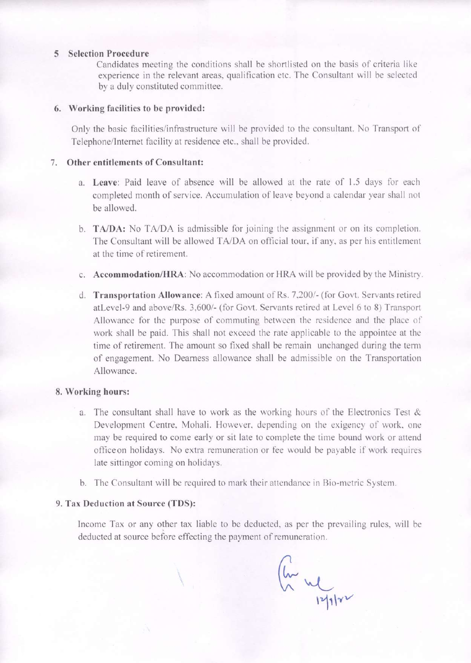#### 5 Selection Procedure

Candidates meeting the conditions shall be shortlisted on the basis of criteria like experience in the relevant areas, qualification etc. The Consultant will be selected by a duly constituted committee.

#### 6. Working facilities to be provided:

Only the basic facilities/infrastructure will be provided to the consultant. No Transport of Telephone/Internet facility at residence etc., shall be provided.

### 7. Other entitlements of Consultant:

- a. Leave: Paid leave of absence will be allowed at the rate of 1.5 days for each completed month of service. Accumulation of leave beyond a calendar year shall not be allowed.
- b. **TA/DA:** No TA/DA is admissible for joining the assignment or on its completion. The Consultant will be allowed TA/DA on official tour, if any, as per his entitlement at the time of retirement.
- c. Accommodation/HRA: No accommodation or HRA will be provided by the Ministry.
- d. Transportation Allowance: A fixed amount of Rs. 7,200/- (for Govt. Servants retired atLevel-9 and above/Rs. 3,600/- (for Govt. Servants retired at Level 6 to 8) Transport Allowance for the purpose of commuting between the residence and the place of work shall be paid. This shall not exceed the rate applicable to the appointee at the time of retirement. The amount so fixed shall be remain unchanged during the term of engagement. No Dearness allowance shall be admissible on the Transportation Allowance.

### 8. Working hours:

- a. The consultant shall have to work as the working hours of the Electronics Test & Development Centre, Mohali. However, depending on the exigency of work, one may be required to come early or sit late to complete the time bound work or attend officeon holidays. No extra remuneration or fee would be payable if work requires late sittingor coming on holidays.
- b. The Consultant will be required to mark their attendance in Bio-metric System.

#### 9, Tax Deduction at Source (TDS):

 $\overline{\mathbf{X}}$ 

Income Tax or any other tax liable to be deducted, as per the prevailing rules, will be deducted at source before effecting the payment of remuneration.

lw  $\frac{1}{2}$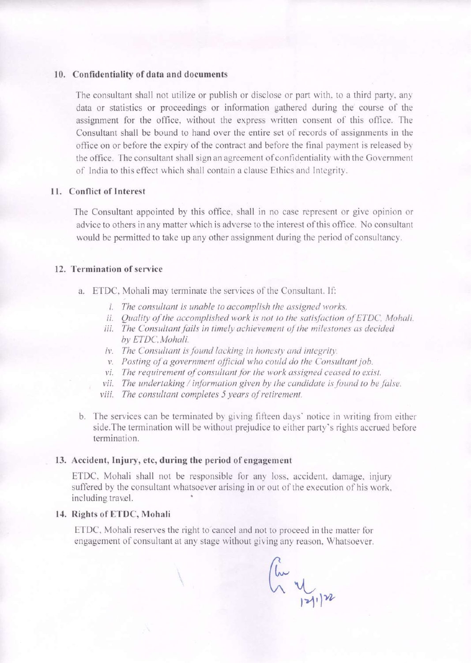#### 10. Confidentiality of data and documents

The consultant shall not utilize or publish or disclose or part with, to a third party, any data or statistics or proceedings or information gathered during the course of the assignment for the office, without the express written consent of this office. The Consultant shall be bound to hand overthe entire set of records of assignments in the office on or before the expiry of the contract and before the final payment is released by the office. The consultant shall sign an agreement of confidentiality with the Government of India to this effect which shall contain a clause Ethics and Integrity.

### 11. Conflict of Interest

The Consultant appointed by this office, shall in no case represent or give opinion or advice to others in any matter which is adverse to the interest of this office. No consultant would be permitted to take up any other assignment during the period of consultancy.

## 12. Termination of service

- a. ETDC, Mohali may terminate the services of the Consultant.If:
	- i. The consultant is unable to accomplish the assigned works.
	- ii. Quality of the accomplished work is not to the satisfaction of ETDC, Mohali.
	- iii. The Consultant fails in timely achievement of the milestones as decided by ETDC, Mohali.
	- iv. The Consultant is found lacking in honesty and integrity.
	- v. Posting of a government official who could do the Consultant job.
	- vi. The requirement of consultant for the work assigned ceased to exist.
	- vil. The undertaking / information given by the candidate is found to be false.
	- vill. The consultant completes <sup>5</sup> years of retirement.
- b. The services can be terminated by giving fifteen days' notice in writing fromeither side. The termination will be without prejudice to either party's rights accrued before termination.

#### 13. Accident, Injury, etc, during the period of engagement

 $\overline{\phantom{0}}$ 

ETDC, Mohali shall not be responsible for any loss, accident, damage, injury suffered by the consultant whatsoever arising in or out of the execution of his work, including travel.

#### 14. Rights of ETDC, Mohali

ETDC, Mohali reserves the right to cancel and not to proceed in the matter for engagement of consultant at any stage without giving any reason, Whatsoever.

@ v<br>121.12